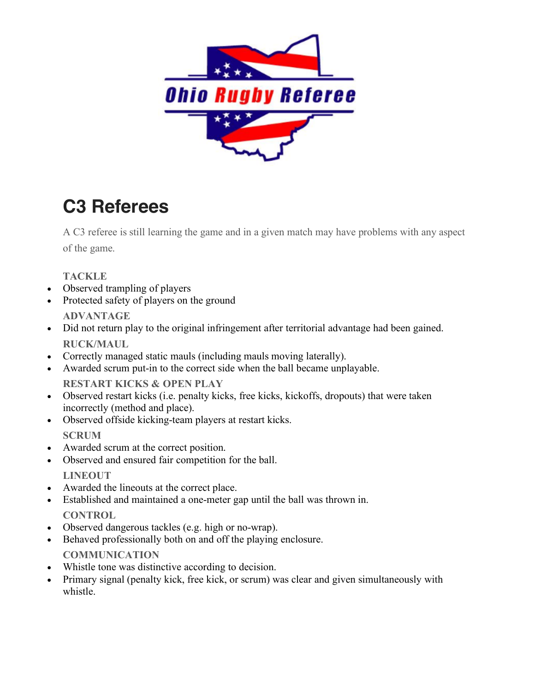

### **C3 Referees**

A C3 referee is still learning the game and in a given match may have problems with any aspect of the game.

**TACKLE**

- Observed trampling of players
- Protected safety of players on the ground **ADVANTAGE**
- Did not return play to the original infringement after territorial advantage had been gained. **RUCK/MAUL**
- Correctly managed static mauls (including mauls moving laterally).
- Awarded scrum put-in to the correct side when the ball became unplayable. **RESTART KICKS & OPEN PLAY**
- Observed restart kicks (i.e. penalty kicks, free kicks, kickoffs, dropouts) that were taken incorrectly (method and place).
- Observed offside kicking-team players at restart kicks. **SCRUM**
- Awarded scrum at the correct position.
- Observed and ensured fair competition for the ball. **LINEOUT**
- Awarded the lineouts at the correct place.
- Established and maintained a one-meter gap until the ball was thrown in. **CONTROL**
- Observed dangerous tackles (e.g. high or no-wrap).
- Behaved professionally both on and off the playing enclosure. **COMMUNICATION**
- Whistle tone was distinctive according to decision.
- Primary signal (penalty kick, free kick, or scrum) was clear and given simultaneously with whistle.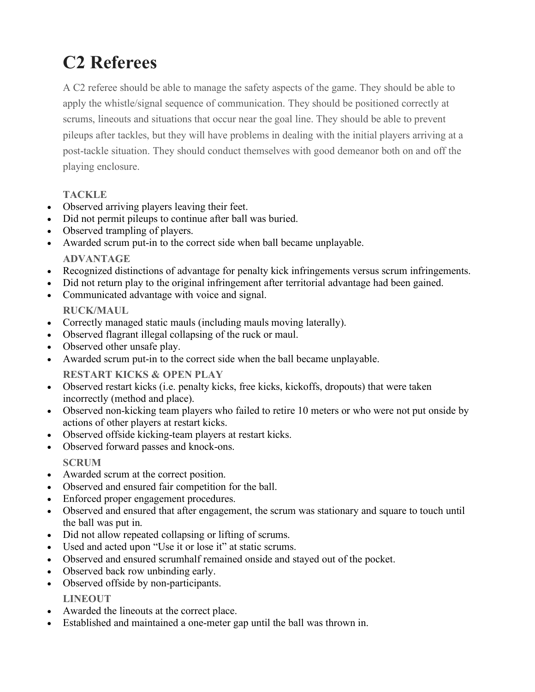# **C2 Referees**

A C2 referee should be able to manage the safety aspects of the game. They should be able to apply the whistle/signal sequence of communication. They should be positioned correctly at scrums, lineouts and situations that occur near the goal line. They should be able to prevent pileups after tackles, but they will have problems in dealing with the initial players arriving at a post-tackle situation. They should conduct themselves with good demeanor both on and off the playing enclosure.

#### **TACKLE**

- Observed arriving players leaving their feet.
- Did not permit pileups to continue after ball was buried.
- Observed trampling of players.
- Awarded scrum put-in to the correct side when ball became unplayable. **ADVANTAGE**
- Recognized distinctions of advantage for penalty kick infringements versus scrum infringements.
- Did not return play to the original infringement after territorial advantage had been gained.
- Communicated advantage with voice and signal. **RUCK/MAUL**
- Correctly managed static mauls (including mauls moving laterally).
- Observed flagrant illegal collapsing of the ruck or maul.
- Observed other unsafe play.
- Awarded scrum put-in to the correct side when the ball became unplayable.

**RESTART KICKS & OPEN PLAY**

- Observed restart kicks (i.e. penalty kicks, free kicks, kickoffs, dropouts) that were taken incorrectly (method and place).
- Observed non-kicking team players who failed to retire 10 meters or who were not put onside by actions of other players at restart kicks.
- Observed offside kicking-team players at restart kicks.
- Observed forward passes and knock-ons.

**SCRUM**

- Awarded scrum at the correct position.
- Observed and ensured fair competition for the ball.
- Enforced proper engagement procedures.
- Observed and ensured that after engagement, the scrum was stationary and square to touch until the ball was put in.
- Did not allow repeated collapsing or lifting of scrums.
- Used and acted upon "Use it or lose it" at static scrums.
- Observed and ensured scrumhalf remained onside and stayed out of the pocket.
- Observed back row unbinding early.
- Observed offside by non-participants.

**LINEOUT**

- Awarded the lineouts at the correct place.
- Established and maintained a one-meter gap until the ball was thrown in.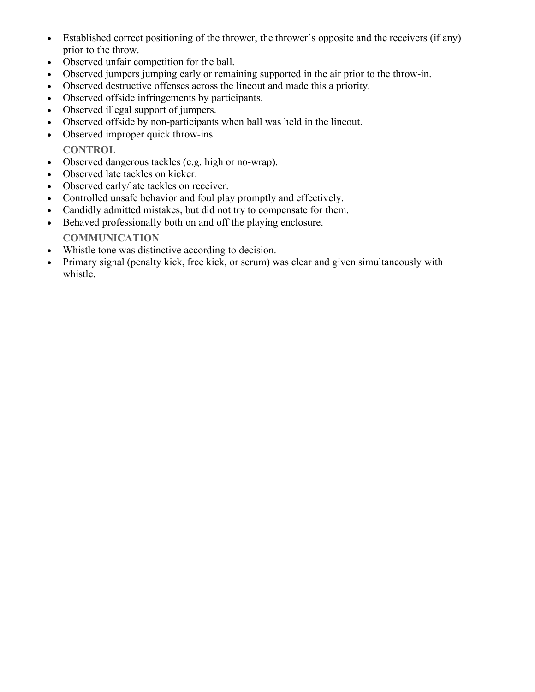- Established correct positioning of the thrower, the thrower's opposite and the receivers (if any) prior to the throw.
- Observed unfair competition for the ball.
- Observed jumpers jumping early or remaining supported in the air prior to the throw-in.
- Observed destructive offenses across the lineout and made this a priority.
- Observed offside infringements by participants.
- Observed illegal support of jumpers.
- Observed offside by non-participants when ball was held in the lineout.
- Observed improper quick throw-ins.

**CONTROL**

- Observed dangerous tackles (e.g. high or no-wrap).
- Observed late tackles on kicker.
- Observed early/late tackles on receiver.
- Controlled unsafe behavior and foul play promptly and effectively.
- Candidly admitted mistakes, but did not try to compensate for them.
- Behaved professionally both on and off the playing enclosure.

### **COMMUNICATION**

- Whistle tone was distinctive according to decision.
- Primary signal (penalty kick, free kick, or scrum) was clear and given simultaneously with whistle.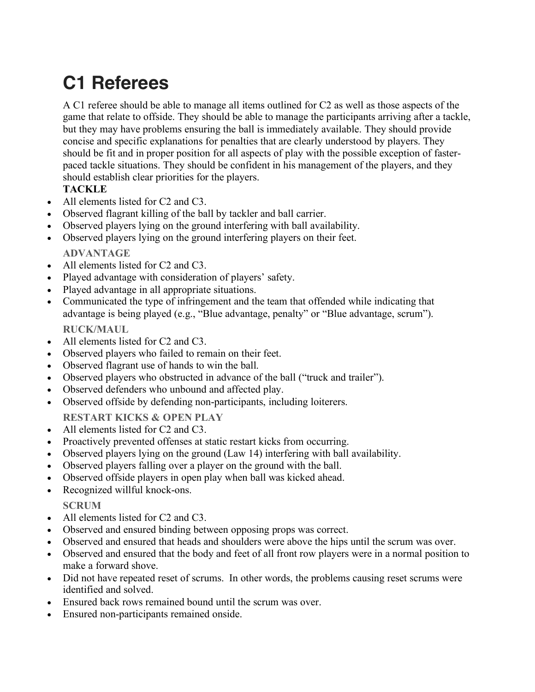## **C1 Referees**

A C1 referee should be able to manage all items outlined for C2 as well as those aspects of the game that relate to offside. They should be able to manage the participants arriving after a tackle, but they may have problems ensuring the ball is immediately available. They should provide concise and specific explanations for penalties that are clearly understood by players. They should be fit and in proper position for all aspects of play with the possible exception of fasterpaced tackle situations. They should be confident in his management of the players, and they should establish clear priorities for the players.

### **TACKLE**

- All elements listed for C<sub>2</sub> and C<sub>3</sub>.
- Observed flagrant killing of the ball by tackler and ball carrier.
- Observed players lying on the ground interfering with ball availability.
- Observed players lying on the ground interfering players on their feet. **ADVANTAGE**
- All elements listed for C<sub>2</sub> and C<sub>3</sub>.
- Played advantage with consideration of players' safety.
- Played advantage in all appropriate situations.
- Communicated the type of infringement and the team that offended while indicating that advantage is being played (e.g., "Blue advantage, penalty" or "Blue advantage, scrum").

**RUCK/MAUL**

- All elements listed for C<sub>2</sub> and C<sub>3</sub>.
- Observed players who failed to remain on their feet.
- Observed flagrant use of hands to win the ball.
- Observed players who obstructed in advance of the ball ("truck and trailer").
- Observed defenders who unbound and affected play.
- Observed offside by defending non-participants, including loiterers.
- **RESTART KICKS & OPEN PLAY**
- All elements listed for C2 and C3.
- Proactively prevented offenses at static restart kicks from occurring.
- Observed players lying on the ground (Law 14) interfering with ball availability.
- Observed players falling over a player on the ground with the ball.
- Observed offside players in open play when ball was kicked ahead.
- Recognized willful knock-ons.

**SCRUM**

- All elements listed for C<sub>2</sub> and C<sub>3</sub>.
- Observed and ensured binding between opposing props was correct.
- Observed and ensured that heads and shoulders were above the hips until the scrum was over.
- Observed and ensured that the body and feet of all front row players were in a normal position to make a forward shove.
- Did not have repeated reset of scrums. In other words, the problems causing reset scrums were identified and solved.
- Ensured back rows remained bound until the scrum was over.
- Ensured non-participants remained onside.